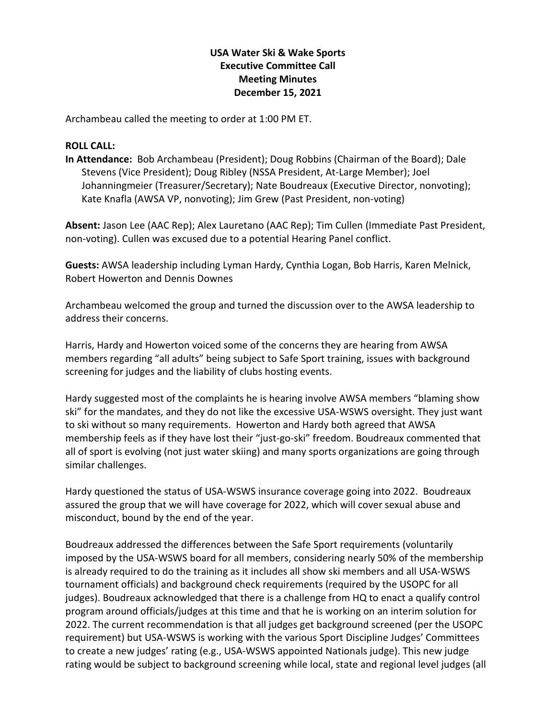## **USA Water Ski & Wake Sports Executive Committee Call Meeting Minutes December 15, 2021**

Archambeau called the meeting to order at 1:00 PM ET.

## **ROLL CALL:**

**In Attendance:** Bob Archambeau (President); Doug Robbins (Chairman of the Board); Dale Stevens (Vice President); Doug Ribley (NSSA President, At-Large Member); Joel Johanningmeier (Treasurer/Secretary); Nate Boudreaux (Executive Director, nonvoting); Kate Knafla (AWSA VP, nonvoting); Jim Grew (Past President, non-voting)

**Absent:** Jason Lee (AAC Rep); Alex Lauretano (AAC Rep); Tim Cullen (Immediate Past President, non-voting). Cullen was excused due to a potential Hearing Panel conflict.

**Guests:** AWSA leadership including Lyman Hardy, Cynthia Logan, Bob Harris, Karen Melnick, Robert Howerton and Dennis Downes

Archambeau welcomed the group and turned the discussion over to the AWSA leadership to address their concerns.

Harris, Hardy and Howerton voiced some of the concerns they are hearing from AWSA members regarding "all adults" being subject to Safe Sport training, issues with background screening for judges and the liability of clubs hosting events.

Hardy suggested most of the complaints he is hearing involve AWSA members "blaming show ski" for the mandates, and they do not like the excessive USA-WSWS oversight. They just want to ski without so many requirements. Howerton and Hardy both agreed that AWSA membership feels as if they have lost their "just-go-ski" freedom. Boudreaux commented that all of sport is evolving (not just water skiing) and many sports organizations are going through similar challenges.

Hardy questioned the status of USA-WSWS insurance coverage going into 2022. Boudreaux assured the group that we will have coverage for 2022, which will cover sexual abuse and misconduct, bound by the end of the year.

Boudreaux addressed the differences between the Safe Sport requirements (voluntarily imposed by the USA-WSWS board for all members, considering nearly 50% of the membership is already required to do the training as it includes all show ski members and all USA-WSWS tournament officials) and background check requirements (required by the USOPC for all judges). Boudreaux acknowledged that there is a challenge from HQ to enact a qualify control program around officials/judges at this time and that he is working on an interim solution for 2022. The current recommendation is that all judges get background screened (per the USOPC requirement) but USA-WSWS is working with the various Sport Discipline Judges' Committees to create a new judges' rating (e.g., USA-WSWS appointed Nationals judge). This new judge rating would be subject to background screening while local, state and regional level judges (all